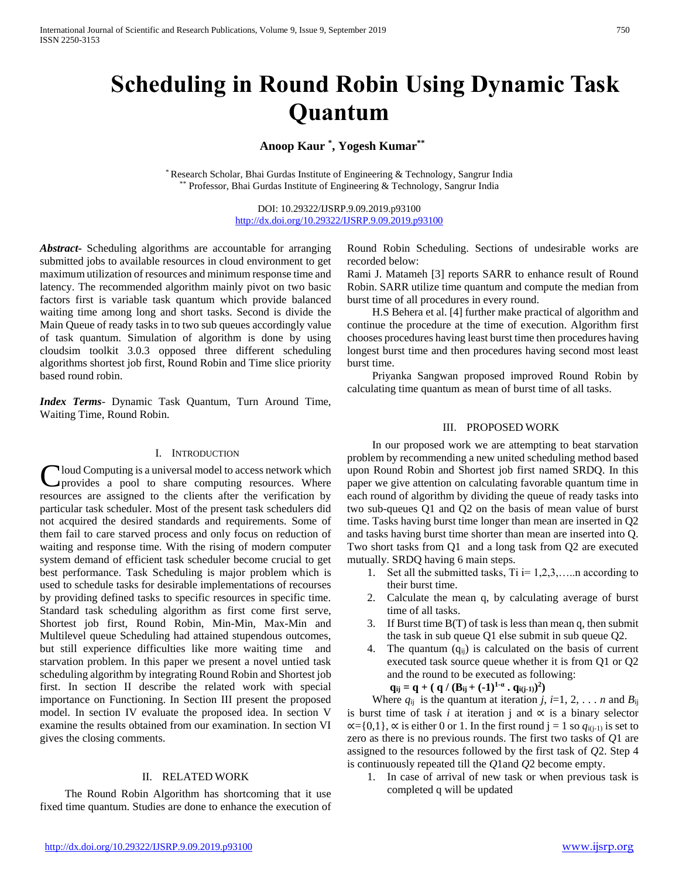# **Scheduling in Round Robin Using Dynamic Task**

# **Quantum Anoop Kaur \* , Yogesh Kumar\*\***

\* Research Scholar, Bhai Gurdas Institute of Engineering & Technology, Sangrur India \*\* Professor, Bhai Gurdas Institute of Engineering & Technology, Sangrur India

> DOI: 10.29322/IJSRP.9.09.2019.p93100 <http://dx.doi.org/10.29322/IJSRP.9.09.2019.p93100>

*Abstract***-** Scheduling algorithms are accountable for arranging submitted jobs to available resources in cloud environment to get maximum utilization of resources and minimum response time and latency. The recommended algorithm mainly pivot on two basic factors first is variable task quantum which provide balanced waiting time among long and short tasks. Second is divide the Main Queue of ready tasks in to two sub queues accordingly value of task quantum. Simulation of algorithm is done by using cloudsim toolkit 3.0.3 opposed three different scheduling algorithms shortest job first, Round Robin and Time slice priority based round robin.

*Index Terms*- Dynamic Task Quantum, Turn Around Time, Waiting Time, Round Robin.

#### I. INTRODUCTION

loud Computing is a universal model to access network which Cloud Computing is a universal model to access network which<br>provides a pool to share computing resources. Where resources are assigned to the clients after the verification by particular task scheduler. Most of the present task schedulers did not acquired the desired standards and requirements. Some of them fail to care starved process and only focus on reduction of waiting and response time. With the rising of modern computer system demand of efficient task scheduler become crucial to get best performance. Task Scheduling is major problem which is used to schedule tasks for desirable implementations of recourses by providing defined tasks to specific resources in specific time. Standard task scheduling algorithm as first come first serve, Shortest job first, Round Robin, Min-Min, Max-Min and Multilevel queue Scheduling had attained stupendous outcomes, but still experience difficulties like more waiting time and starvation problem. In this paper we present a novel untied task scheduling algorithm by integrating Round Robin and Shortest job first. In section II describe the related work with special importance on Functioning. In Section III present the proposed model. In section IV evaluate the proposed idea. In section V examine the results obtained from our examination. In section VI gives the closing comments.

## II. RELATED WORK

 The Round Robin Algorithm has shortcoming that it use fixed time quantum. Studies are done to enhance the execution of Round Robin Scheduling. Sections of undesirable works are recorded below:

Rami J. Matameh [3] reports SARR to enhance result of Round Robin. SARR utilize time quantum and compute the median from burst time of all procedures in every round.

 H.S Behera et al. [4] further make practical of algorithm and continue the procedure at the time of execution. Algorithm first chooses procedures having least burst time then procedures having longest burst time and then procedures having second most least burst time.

 Priyanka Sangwan proposed improved Round Robin by calculating time quantum as mean of burst time of all tasks.

#### III. PROPOSED WORK

 In our proposed work we are attempting to beat starvation problem by recommending a new united scheduling method based upon Round Robin and Shortest job first named SRDQ. In this paper we give attention on calculating favorable quantum time in each round of algorithm by dividing the queue of ready tasks into two sub-queues Q1 and Q2 on the basis of mean value of burst time. Tasks having burst time longer than mean are inserted in Q2 and tasks having burst time shorter than mean are inserted into Q. Two short tasks from Q1 and a long task from Q2 are executed mutually. SRDQ having 6 main steps.

- 1. Set all the submitted tasks,  $Ti = 1, 2, 3, \ldots$  according to their burst time.
- 2. Calculate the mean q, by calculating average of burst time of all tasks.
- 3. If Burst time B(T) of task is less than mean q, then submit the task in sub queue Q1 else submit in sub queue Q2.
- 4. The quantum  $(q_{ii})$  is calculated on the basis of current executed task source queue whether it is from Q1 or Q2 and the round to be executed as following:

$$
q_{ij} = q + ( q / (B_{ij} + (-1)^{1-\alpha} \cdot q_{i(j-1)})^2 )
$$

Where  $q_{ij}$  is the quantum at iteration *j*, *i*=1, 2, . . . *n* and  $B_{ij}$ is burst time of task *i* at iteration j and  $\alpha$  is a binary selector  $\alpha$ ={0,1},  $\alpha$  is either 0 or 1. In the first round j = 1 so  $q_{i(j-1)}$  is set to zero as there is no previous rounds. The first two tasks of *Q*1 are assigned to the resources followed by the first task of *Q*2. Step 4 is continuously repeated till the *Q*1and *Q*2 become empty.

1. In case of arrival of new task or when previous task is completed q will be updated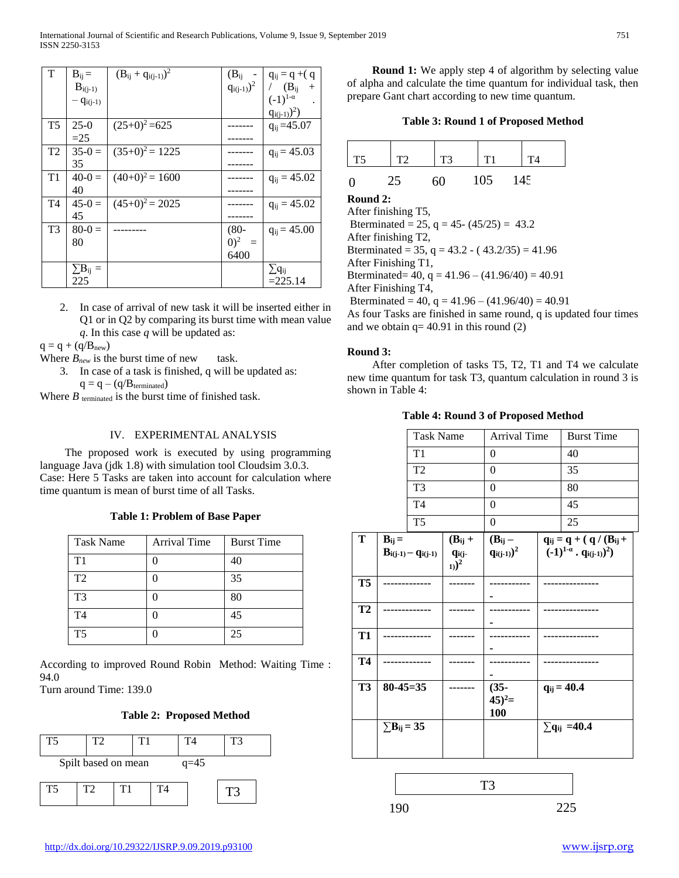| T              | $B_{ii} =$      | $(B_{ij} + q_{i(i-1)})^2$ | $(B_{ii}$       | $q_{ij} = q + (q)$ |
|----------------|-----------------|---------------------------|-----------------|--------------------|
|                | $B_{i(j-1)}$    |                           | $q_{i(j-1)})^2$ | / $(B_{ii}$<br>$+$ |
|                | $-q_{i(j-1)}$   |                           |                 | $(-1)^{1-\alpha}$  |
|                |                 |                           |                 | $q_{i(i-1)})^2$ )  |
| T <sub>5</sub> | $25-0$          | $(25+0)^2 = 625$          |                 | $q_{ij} = 45.07$   |
|                | $=25$           |                           |                 |                    |
| T2             | $35-0=$         | $(35+0)^2 = 1225$         |                 | $q_{ij} = 45.03$   |
|                | 35              |                           |                 |                    |
| T1             | $40-0=$         | $(40+0)^2 = 1600$         |                 | $q_{ii} = 45.02$   |
|                | 40              |                           |                 |                    |
| T4             | $45-0=$         | $(45+0)^2 = 2025$         |                 | $q_{ij} = 45.02$   |
|                | 45              |                           |                 |                    |
| T <sub>3</sub> | $80-0=$         |                           | $(80 -$         | $q_{ij} = 45.00$   |
|                | 80              |                           | $(0)^2$<br>$=$  |                    |
|                |                 |                           | 6400            |                    |
|                | $\sum B_{ij} =$ |                           |                 | $\sum q_{ij}$      |
|                | 225             |                           |                 | $=225.14$          |

2. In case of arrival of new task it will be inserted either in Q1 or in Q2 by comparing its burst time with mean value *q*. In this case *q* will be updated as:

 $q = q + (q/B_{new})$ 

- Where  $B_{new}$  is the burst time of new task.
	- 3. In case of a task is finished, q will be updated as:  $q = q - (q/B_{\text{terminated}})$

Where  $B$  terminated is the burst time of finished task.

## IV. EXPERIMENTAL ANALYSIS

 The proposed work is executed by using programming language Java (jdk 1.8) with simulation tool Cloudsim 3.0.3. Case: Here 5 Tasks are taken into account for calculation where time quantum is mean of burst time of all Tasks.

## **Table 1: Problem of Base Paper**

| <b>Task Name</b> | <b>Arrival Time</b> | <b>Burst Time</b> |
|------------------|---------------------|-------------------|
| T1               |                     | 40                |
| T <sub>2</sub>   |                     | 35                |
| T <sub>3</sub>   |                     | 80                |
| T4               |                     | 45                |
| <b>T5</b>        |                     | 25                |

According to improved Round Robin Method: Waiting Time : 94.0 Turn around Time: 139.0

## **Table 2: Proposed Method**

| T5 | T2                  | T1 |    | T4     | T3 |
|----|---------------------|----|----|--------|----|
|    | Spilt based on mean |    |    | $q=45$ |    |
| T5 | T2                  | T1 | T4 |        | ĽЗ |

**Round 1:** We apply step 4 of algorithm by selecting value of alpha and calculate the time quantum for individual task, then prepare Gant chart according to new time quantum.

| T <sub>5</sub> | T2 | T <sub>3</sub> | T1  | T <sub>4</sub> |
|----------------|----|----------------|-----|----------------|
| $\overline{0}$ | 25 | 60             | 105 | 145            |

**Round 2:**

After finishing T5, Bterminated = 25,  $q = 45 - (45/25) = 43.2$ After finishing T2, Bterminated = 35,  $q = 43.2 - (43.2/35) = 41.96$ After Finishing T1, Bterminated=  $40$ , q =  $41.96 - (41.96/40) = 40.91$ After Finishing T4, Bterminated = 40,  $q = 41.96 - (41.96/40) = 40.91$ 

As four Tasks are finished in same round, q is updated four times and we obtain  $q = 40.91$  in this round (2)

## **Round 3:**

 After completion of tasks T5, T2, T1 and T4 we calculate new time quantum for task T3, quantum calculation in round 3 is shown in Table 4:

#### **Table 4: Round 3 of Proposed Method**

|                         |                               |                                       |                        |                     | <b>Burst Time</b>                     |                     |  |
|-------------------------|-------------------------------|---------------------------------------|------------------------|---------------------|---------------------------------------|---------------------|--|
|                         |                               | <b>Task Name</b>                      |                        | <b>Arrival Time</b> |                                       |                     |  |
|                         |                               | T1                                    |                        | 0                   |                                       | 40                  |  |
| T <sub>2</sub>          |                               |                                       |                        | $\boldsymbol{0}$    |                                       | 35                  |  |
| T <sub>3</sub>          |                               |                                       |                        | $\overline{0}$      |                                       | 80                  |  |
| T <sub>4</sub>          |                               |                                       |                        | $\overline{0}$      |                                       | 45                  |  |
| T <sub>5</sub>          |                               |                                       | $\overline{0}$         |                     | 25                                    |                     |  |
| $\overline{\mathbf{T}}$ | $B_{ij} =$                    |                                       | $(B_{ij} +$            | $(B_{ij} -$         | $q_{ij} = q + (q / (B_{ij} +$         |                     |  |
|                         |                               | $B_{i(j\text{-}1)}-q_{i(j\text{-}1)}$ | qi(j-                  | $q_{i(j-1)})^2$     | $(-1)^{1-\alpha} \cdot q_{i(j-1)})^2$ |                     |  |
|                         |                               |                                       | $_{1)}$ ) <sup>2</sup> |                     |                                       |                     |  |
| <b>T5</b>               |                               |                                       |                        |                     |                                       |                     |  |
|                         |                               |                                       |                        |                     |                                       |                     |  |
| T2                      |                               |                                       |                        |                     |                                       |                     |  |
|                         |                               |                                       |                        |                     |                                       |                     |  |
| <b>T1</b>               |                               |                                       |                        |                     |                                       |                     |  |
|                         |                               |                                       |                        |                     |                                       |                     |  |
| <b>T4</b>               |                               |                                       |                        |                     |                                       |                     |  |
|                         |                               |                                       |                        |                     |                                       |                     |  |
| T3                      | $80 - 45 = 35$                |                                       |                        | $(35 -$             |                                       | $q_{ij} = 40.4$     |  |
|                         |                               |                                       |                        | $(45)^2$ =          |                                       |                     |  |
|                         |                               |                                       |                        | 100                 |                                       |                     |  |
|                         | $\Sigma$ B <sub>ij</sub> = 35 |                                       |                        |                     |                                       | $\sum q_{ij}$ =40.4 |  |
|                         |                               |                                       |                        |                     |                                       |                     |  |
|                         |                               |                                       |                        |                     |                                       |                     |  |